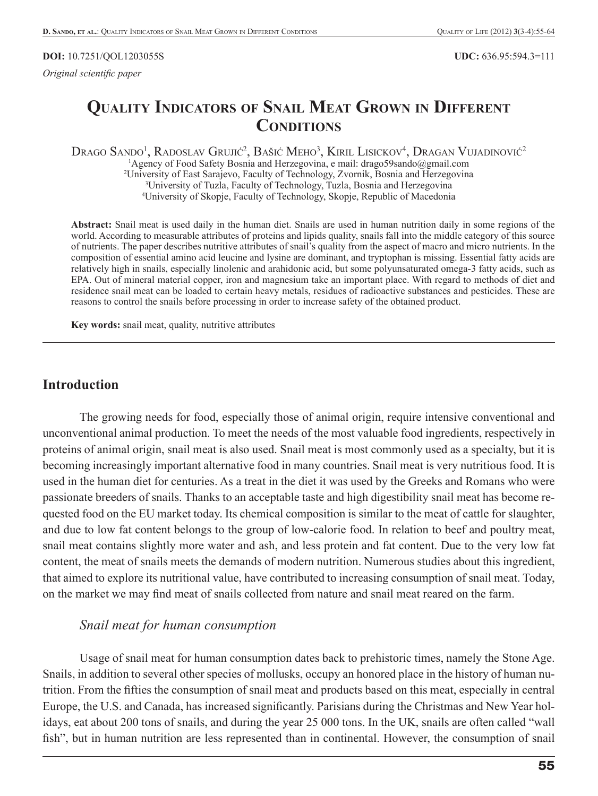#### **DOI:** 10.7251/QOL1203055S **UDC:** 636.95:594.3=111

*Original scientific paper* 

# **QUALITY INDICATORS OF SNAIL MEAT GROWN IN DIFFERENT CONDITIONS**

Drago Sando<sup>1</sup>, Radoslav Grujić<sup>2</sup>, Bašić Meho<sup>3</sup>, Kiril Lisickov<sup>4</sup>, Dragan Vujadinović<sup>2</sup> <sup>1</sup>Agency of Food Safety Bosnia and Herzegovina, e mail: drago59sando@gmail.com 2 University of East Sarajevo, Faculty of Technology, Zvornik, Bosnia and Herzegovina 3 University of Tuzla, Faculty of Technology, Tuzla, Bosnia and Herzegovina 4 University of Skopje, Faculty of Technology, Skopje, Republic of Macedonia

**Abstract:** Snail meat is used daily in the human diet. Snails are used in human nutrition daily in some regions of the world. According to measurable attributes of proteins and lipids quality, snails fall into the middle category of this source of nutrients. The paper describes nutritive attributes of snail's quality from the aspect of macro and micro nutrients. In the composition of essential amino acid leucine and lysine are dominant, and tryptophan is missing. Essential fatty acids are relatively high in snails, especially linolenic and arahidonic acid, but some polyunsaturated omega-3 fatty acids, such as EPA. Out of mineral material copper, iron and magnesium take an important place. With regard to methods of diet and residence snail meat can be loaded to certain heavy metals, residues of radioactive substances and pesticides. These are reasons to control the snails before processing in order to increase safety of the obtained product.

**Key words:** snail meat, quality, nutritive attributes

#### **Introduction**

The growing needs for food, especially those of animal origin, require intensive conventional and unconventional animal production. To meet the needs of the most valuable food ingredients, respectively in proteins of animal origin, snail meat is also used. Snail meat is most commonly used as a specialty, but it is becoming increasingly important alternative food in many countries. Snail meat is very nutritious food. It is used in the human diet for centuries. As a treat in the diet it was used by the Greeks and Romans who were passionate breeders of snails. Thanks to an acceptable taste and high digestibility snail meat has become requested food on the EU market today. Its chemical composition is similar to the meat of cattle for slaughter, and due to low fat content belongs to the group of low-calorie food. In relation to beef and poultry meat, snail meat contains slightly more water and ash, and less protein and fat content. Due to the very low fat content, the meat of snails meets the demands of modern nutrition. Numerous studies about this ingredient, that aimed to explore its nutritional value, have contributed to increasing consumption of snail meat. Today, on the market we may find meat of snails collected from nature and snail meat reared on the farm.

#### *Snail meat for human consumption*

Usage of snail meat for human consumption dates back to prehistoric times, namely the Stone Age. Snails, in addition to several other species of mollusks, occupy an honored place in the history of human nutrition. From the fifties the consumption of snail meat and products based on this meat, especially in central Europe, the U.S. and Canada, has increased significantly. Parisians during the Christmas and New Year holidays, eat about 200 tons of snails, and during the year 25 000 tons. In the UK, snails are often called "wall fish", but in human nutrition are less represented than in continental. However, the consumption of snail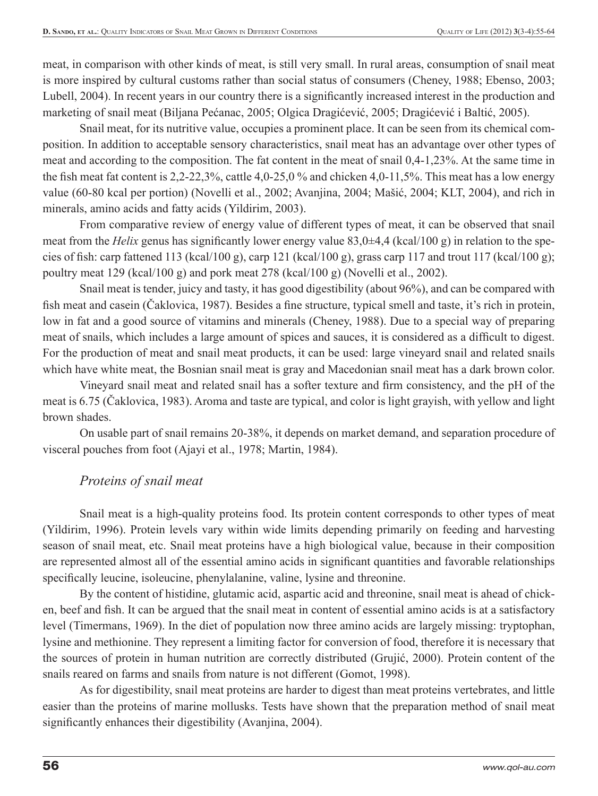meat, in comparison with other kinds of meat, is still very small. In rural areas, consumption of snail meat is more inspired by cultural customs rather than social status of consumers (Cheney, 1988; Ebenso, 2003; Lubell, 2004). In recent years in our country there is a significantly increased interest in the production and marketing of snail meat (Biljana Pećanac, 2005; Olgica Dragićević, 2005; Dragićević i Baltić, 2005).

Snail meat, for its nutritive value, occupies a prominent place. It can be seen from its chemical composition. In addition to acceptable sensory characteristics, snail meat has an advantage over other types of meat and according to the composition. The fat content in the meat of snail 0,4-1,23%. At the same time in the fish meat fat content is  $2.2$ -22,3%, cattle 4,0-25,0% and chicken 4,0-11,5%. This meat has a low energy value (60-80 kcal per portion) (Novelli et al., 2002; Avanjina, 2004; Mašić, 2004; KLT, 2004), and rich in minerals, amino acids and fatty acids (Yildirim, 2003).

From comparative review of energy value of different types of meat, it can be observed that snail meat from the *Helix* genus has significantly lower energy value 83,0 $\pm$ 4,4 (kcal/100 g) in relation to the species of fish: carp fattened 113 (kcal/100 g), carp 121 (kcal/100 g), grass carp 117 and trout 117 (kcal/100 g); poultry meat 129 (kcal/100 g) and pork meat 278 (kcal/100 g) (Novelli et al., 2002).

Snail meat is tender, juicy and tasty, it has good digestibility (about 96%), and can be compared with fish meat and casein (Čaklovica, 1987). Besides a fine structure, typical smell and taste, it's rich in protein, low in fat and a good source of vitamins and minerals (Cheney, 1988). Due to a special way of preparing meat of snails, which includes a large amount of spices and sauces, it is considered as a difficult to digest. For the production of meat and snail meat products, it can be used: large vineyard snail and related snails which have white meat, the Bosnian snail meat is gray and Macedonian snail meat has a dark brown color.

Vineyard snail meat and related snail has a softer texture and firm consistency, and the pH of the meat is 6.75 (Čaklovica, 1983). Aroma and taste are typical, and color is light grayish, with yellow and light brown shades.

On usable part of snail remains 20-38%, it depends on market demand, and separation procedure of visceral pouches from foot (Ajayi et al., 1978; Martin, 1984).

### *Proteins of snail meat*

Snail meat is a high-quality proteins food. Its protein content corresponds to other types of meat (Yildirim, 1996). Protein levels vary within wide limits depending primarily on feeding and harvesting season of snail meat, etc. Snail meat proteins have a high biological value, because in their composition are represented almost all of the essential amino acids in significant quantities and favorable relationships specifically leucine, isoleucine, phenylalanine, valine, lysine and threonine.

By the content of histidine, glutamic acid, aspartic acid and threonine, snail meat is ahead of chicken, beef and fish. It can be argued that the snail meat in content of essential amino acids is at a satisfactory level (Timermans, 1969). In the diet of population now three amino acids are largely missing: tryptophan, lysine and methionine. They represent a limiting factor for conversion of food, therefore it is necessary that the sources of protein in human nutrition are correctly distributed (Grujić, 2000). Protein content of the snails reared on farms and snails from nature is not different (Gomot, 1998).

As for digestibility, snail meat proteins are harder to digest than meat proteins vertebrates, and little easier than the proteins of marine mollusks. Tests have shown that the preparation method of snail meat significantly enhances their digestibility (Avanjina, 2004).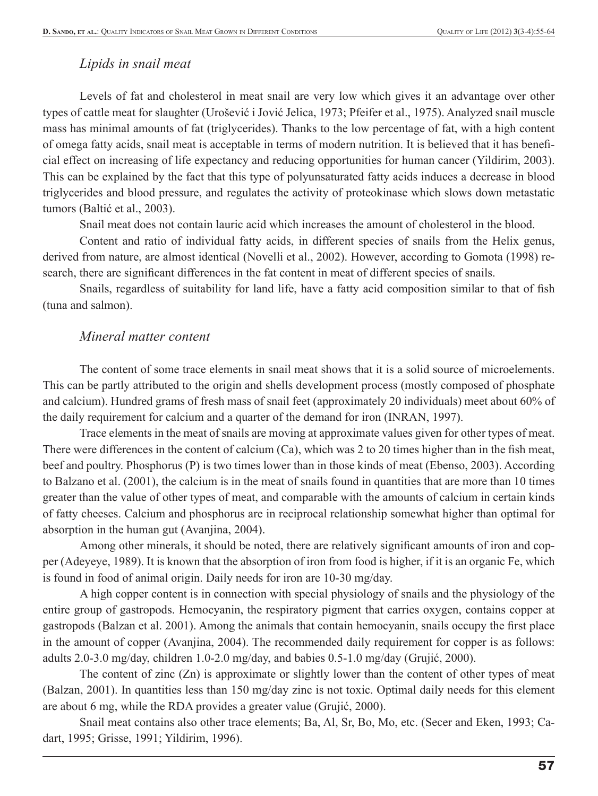#### *Lipids in snail meat*

Levels of fat and cholesterol in meat snail are very low which gives it an advantage over other types of cattle meat for slaughter (Urošević i Jović Jelica, 1973; Pfeifer et al., 1975). Analyzed snail muscle mass has minimal amounts of fat (triglycerides). Thanks to the low percentage of fat, with a high content of omega fatty acids, snail meat is acceptable in terms of modern nutrition. It is believed that it has benefi cial effect on increasing of life expectancy and reducing opportunities for human cancer (Yildirim, 2003). This can be explained by the fact that this type of polyunsaturated fatty acids induces a decrease in blood triglycerides and blood pressure, and regulates the activity of proteokinase which slows down metastatic tumors (Baltić et al., 2003).

Snail meat does not contain lauric acid which increases the amount of cholesterol in the blood.

Content and ratio of individual fatty acids, in different species of snails from the Helix genus, derived from nature, are almost identical (Novelli et al., 2002). However, according to Gomota (1998) research, there are significant differences in the fat content in meat of different species of snails.

Snails, regardless of suitability for land life, have a fatty acid composition similar to that of fish (tuna and salmon).

#### *Mineral matter content*

The content of some trace elements in snail meat shows that it is a solid source of microelements. This can be partly attributed to the origin and shells development process (mostly composed of phosphate and calcium). Hundred grams of fresh mass of snail feet (approximately 20 individuals) meet about 60% of the daily requirement for calcium and a quarter of the demand for iron (INRAN, 1997).

Trace elements in the meat of snails are moving at approximate values given for other types of meat. There were differences in the content of calcium  $(Ca)$ , which was 2 to 20 times higher than in the fish meat, beef and poultry. Phosphorus (P) is two times lower than in those kinds of meat (Ebenso, 2003). According to Balzano et al. (2001), the calcium is in the meat of snails found in quantities that are more than 10 times greater than the value of other types of meat, and comparable with the amounts of calcium in certain kinds of fatty cheeses. Calcium and phosphorus are in reciprocal relationship somewhat higher than optimal for absorption in the human gut (Avanjina, 2004).

Among other minerals, it should be noted, there are relatively significant amounts of iron and copper (Adeyeye, 1989). It is known that the absorption of iron from food is higher, if it is an organic Fe, which is found in food of animal origin. Daily needs for iron are 10-30 mg/day.

A high copper content is in connection with special physiology of snails and the physiology of the entire group of gastropods. Hemocyanin, the respiratory pigment that carries oxygen, contains copper at gastropods (Balzan et al. 2001). Among the animals that contain hemocyanin, snails occupy the first place in the amount of copper (Avanjina, 2004). The recommended daily requirement for copper is as follows: adults 2.0-3.0 mg/day, children 1.0-2.0 mg/day, and babies 0.5-1.0 mg/day (Grujić, 2000).

The content of zinc  $(Zn)$  is approximate or slightly lower than the content of other types of meat (Balzan, 2001). In quantities less than 150 mg/day zinc is not toxic. Optimal daily needs for this element are about 6 mg, while the RDA provides a greater value (Grujić, 2000).

Snail meat contains also other trace elements; Ba, Al, Sr, Bo, Mo, etc. (Secer and Eken, 1993; Cadart, 1995; Grisse, 1991; Yildirim, 1996).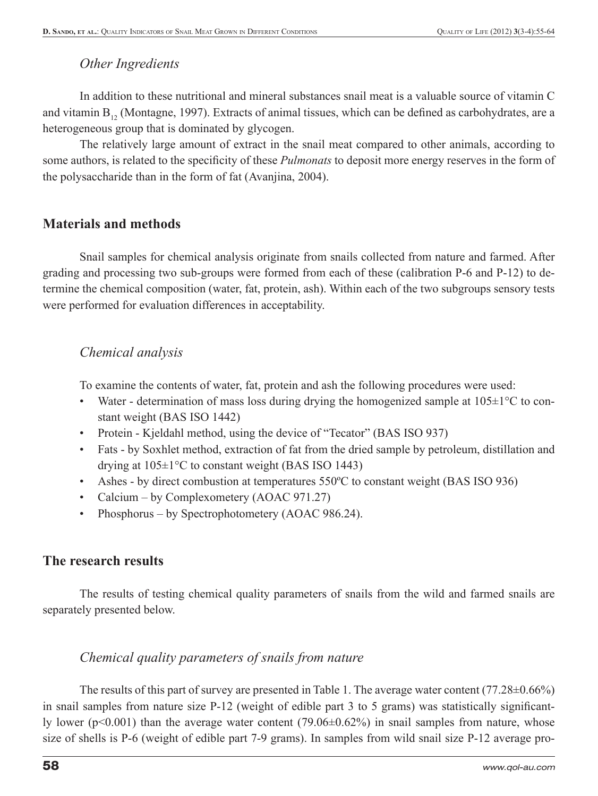### *Other Ingredients*

In addition to these nutritional and mineral substances snail meat is a valuable source of vitamin C and vitamin  $B_{12}$  (Montagne, 1997). Extracts of animal tissues, which can be defined as carbohydrates, are a heterogeneous group that is dominated by glycogen.

The relatively large amount of extract in the snail meat compared to other animals, according to some authors, is related to the specificity of these *Pulmonats* to deposit more energy reserves in the form of the polysaccharide than in the form of fat (Avanjina, 2004).

### **Materials and methods**

Snail samples for chemical analysis originate from snails collected from nature and farmed. After grading and processing two sub-groups were formed from each of these (calibration P-6 and P-12) to determine the chemical composition (water, fat, protein, ash). Within each of the two subgroups sensory tests were performed for evaluation differences in acceptability.

## *Chemical analysis*

To examine the contents of water, fat, protein and ash the following procedures were used:

- Water determination of mass loss during drying the homogenized sample at  $105\pm1\,^{\circ}\text{C}$  to constant weight (BAS ISO 1442)
- Protein Kjeldahl method, using the device of "Tecator" (BAS ISO 937)
- Fats by Soxhlet method, extraction of fat from the dried sample by petroleum, distillation and drying at 105±1°C to constant weight (BAS ISO 1443)
- Ashes by direct combustion at temperatures 550ºC to constant weight (BAS ISO 936)
- Calcium by Complexometery (AOAC 971.27)
- Phosphorus by Spectrophotometery (AOAC 986.24).

## **The research results**

The results of testing chemical quality parameters of snails from the wild and farmed snails are separately presented below.

### *Chemical quality parameters of snails from nature*

The results of this part of survey are presented in Table 1. The average water content (77.28 $\pm$ 0.66%) in snail samples from nature size  $P-12$  (weight of edible part 3 to 5 grams) was statistically significantly lower ( $p<0.001$ ) than the average water content (79.06 $\pm$ 0.62%) in snail samples from nature, whose size of shells is P-6 (weight of edible part 7-9 grams). In samples from wild snail size P-12 average pro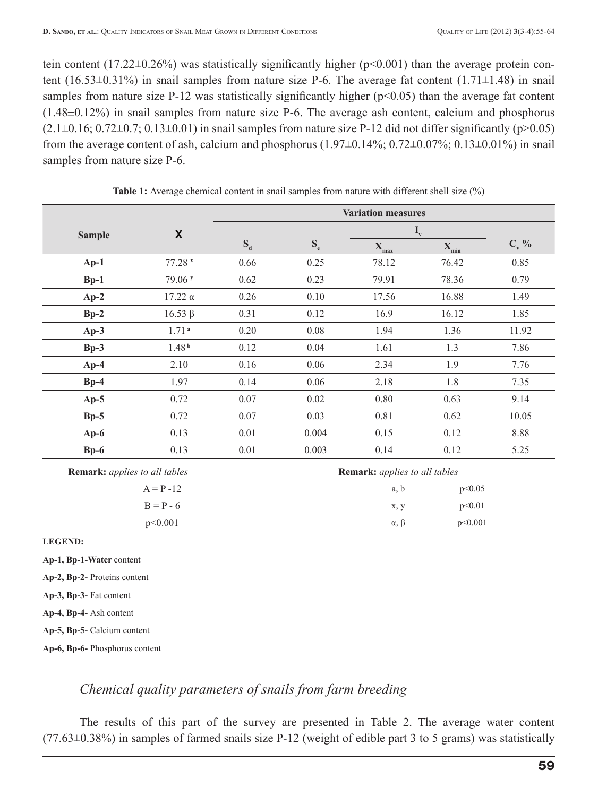tein content (17.22 $\pm$ 0.26%) was statistically significantly higher (p<0.001) than the average protein content (16.53 $\pm$ 0.31%) in snail samples from nature size P-6. The average fat content (1.71 $\pm$ 1.48) in snail samples from nature size P-12 was statistically significantly higher ( $p<0.05$ ) than the average fat content (1.48±0.12%) in snail samples from nature size P-6. The average ash content, calcium and phosphorus  $(2.1\pm0.16; 0.72\pm0.7; 0.13\pm0.01)$  in snail samples from nature size P-12 did not differ significantly (p>0.05) from the average content of ash, calcium and phosphorus  $(1.97\pm0.14\%; 0.72\pm0.07\%; 0.13\pm0.01\%)$  in snail samples from nature size P-6.

|               |                         | <b>Variation measures</b> |                           |                           |           |         |
|---------------|-------------------------|---------------------------|---------------------------|---------------------------|-----------|---------|
| <b>Sample</b> | $\overline{\textbf{X}}$ |                           |                           | $\mathbf{I}_{\mathrm{v}}$ |           |         |
|               |                         | $S_d$                     | $\mathbf{S}_{\mathrm{e}}$ | $X_{max}$                 | $X_{min}$ | $C_v$ % |
| $Ap-1$        | $77.28$ $x$             | 0.66                      | 0.25                      | 78.12                     | 76.42     | 0.85    |
| $Bp-1$        | 79.06 <sup>y</sup>      | 0.62                      | 0.23                      | 79.91                     | 78.36     | 0.79    |
| $Ap-2$        | $17.22 \alpha$          | 0.26                      | 0.10                      | 17.56                     | 16.88     | 1.49    |
| $Bp-2$        | $16.53 \beta$           | 0.31                      | 0.12                      | 16.9                      | 16.12     | 1.85    |
| $Ap-3$        | 1.71 <sup>a</sup>       | 0.20                      | 0.08                      | 1.94                      | 1.36      | 11.92   |
| $Bp-3$        | 1.48 <sup>b</sup>       | 0.12                      | 0.04                      | 1.61                      | 1.3       | 7.86    |
| $Ap-4$        | 2.10                    | 0.16                      | 0.06                      | 2.34                      | 1.9       | 7.76    |
| $Bp-4$        | 1.97                    | 0.14                      | 0.06                      | 2.18                      | 1.8       | 7.35    |
| $Ap-5$        | 0.72                    | 0.07                      | 0.02                      | 0.80                      | 0.63      | 9.14    |
| $Bp-5$        | 0.72                    | 0.07                      | 0.03                      | 0.81                      | 0.62      | 10.05   |
| $Ap-6$        | 0.13                    | 0.01                      | 0.004                     | 0.15                      | 0.12      | 8.88    |
| $Bp-6$        | 0.13                    | 0.01                      | 0.003                     | 0.14                      | 0.12      | 5.25    |

**Table 1:** Average chemical content in snail samples from nature with different shell size  $\binom{9}{0}$ 

**Remark:** *applies to all tables Remark: applies to all tables Remark: applies to all tables* 

| $A = P - 12$ |  |
|--------------|--|
| $B = P - 6$  |  |
| $\sim$ 0.01  |  |

| $A = P - 12$ | a, b               | p<0.05  |
|--------------|--------------------|---------|
| $B = P - 6$  | X, V               | p<0.01  |
| p<0.001      | $\alpha$ , $\beta$ | p<0.001 |

**LEGEND:**

**Ap-1, Bp-1-Water** content

**Ap-2, Bp-2-** Proteins content

**Ap-3, Bp-3-** Fat content

**Ap-4, Bp-4-** Ash content

**Ap-5, Bp-5-** Calcium content

**Ap-6, Bp-6-** Phosphorus content

## *Chemical quality parameters of snails from farm breeding*

The results of this part of the survey are presented in Table 2. The average water content (77.63±0.38%) in samples of farmed snails size P-12 (weight of edible part 3 to 5 grams) was statistically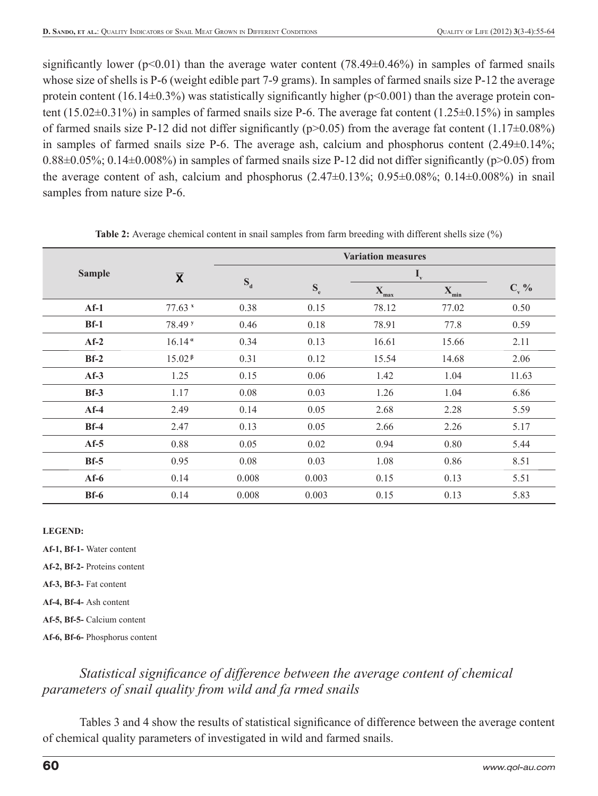significantly lower ( $p<0.01$ ) than the average water content (78.49 $\pm$ 0.46%) in samples of farmed snails whose size of shells is P-6 (weight edible part 7-9 grams). In samples of farmed snails size P-12 the average protein content (16.14 $\pm$ 0.3%) was statistically significantly higher (p<0.001) than the average protein content (15.02±0.31%) in samples of farmed snails size P-6. The average fat content (1.25±0.15%) in samples of farmed snails size P-12 did not differ significantly ( $p>0.05$ ) from the average fat content (1.17 $\pm 0.08\%$ ) in samples of farmed snails size P-6. The average ash, calcium and phosphorus content (2.49±0.14%;  $0.88\pm0.05\%$ ;  $0.14\pm0.008\%$ ) in samples of farmed snails size P-12 did not differ significantly (p>0.05) from the average content of ash, calcium and phosphorus  $(2.47\pm0.13\%; 0.95\pm0.08\%; 0.14\pm0.008\%)$  in snail samples from nature size P-6.

|               |                         | <b>Variation measures</b> |                           |                           |                      |         |
|---------------|-------------------------|---------------------------|---------------------------|---------------------------|----------------------|---------|
| <b>Sample</b> | $\overline{\mathbf{X}}$ | $S_d$                     |                           | $\mathbf{I}_{\mathrm{v}}$ |                      |         |
|               |                         |                           | $\mathbf{S}_{\mathrm{e}}$ | $\mathbf{X}$<br>max       | $\mathbf{X}$<br>`min | $C_v$ % |
| $Af-1$        | 77.63 x                 | 0.38                      | 0.15                      | 78.12                     | 77.02                | 0.50    |
| $Bf-1$        | 78.49 <sup>y</sup>      | 0.46                      | 0.18                      | 78.91                     | 77.8                 | 0.59    |
| $Af-2$        | $16.14^{\alpha}$        | 0.34                      | 0.13                      | 16.61                     | 15.66                | 2.11    |
| $Bf-2$        | 15.02 <sup>β</sup>      | 0.31                      | 0.12                      | 15.54                     | 14.68                | 2.06    |
| $Af-3$        | 1.25                    | 0.15                      | 0.06                      | 1.42                      | 1.04                 | 11.63   |
| $Bf-3$        | 1.17                    | 0.08                      | 0.03                      | 1.26                      | 1.04                 | 6.86    |
| $Af-4$        | 2.49                    | 0.14                      | 0.05                      | 2.68                      | 2.28                 | 5.59    |
| $Bf-4$        | 2.47                    | 0.13                      | 0.05                      | 2.66                      | 2.26                 | 5.17    |
| $Af-5$        | 0.88                    | 0.05                      | 0.02                      | 0.94                      | 0.80                 | 5.44    |
| $Bf-5$        | 0.95                    | 0.08                      | 0.03                      | 1.08                      | 0.86                 | 8.51    |
| $Af-6$        | 0.14                    | 0.008                     | 0.003                     | 0.15                      | 0.13                 | 5.51    |
| $Bf-6$        | 0.14                    | 0.008                     | 0.003                     | 0.15                      | 0.13                 | 5.83    |

**Table 2:** Average chemical content in snail samples from farm breeding with different shells size (%)

#### **LEGEND:**

**Af-1, Bf-1-** Water content

**Af-2, Bf-2-** Proteins content

**Af-3, Bf-3-** Fat content

**Af-4, Bf-4-** Ash content

**Af-5, Bf-5-** Calcium content

**Af-6, Bf-6-** Phosphorus content

## *Statistical significance of difference between the average content of chemical parameters of snail quality from wild and fa rmed snails*

Tables 3 and 4 show the results of statistical significance of difference between the average content of chemical quality parameters of investigated in wild and farmed snails.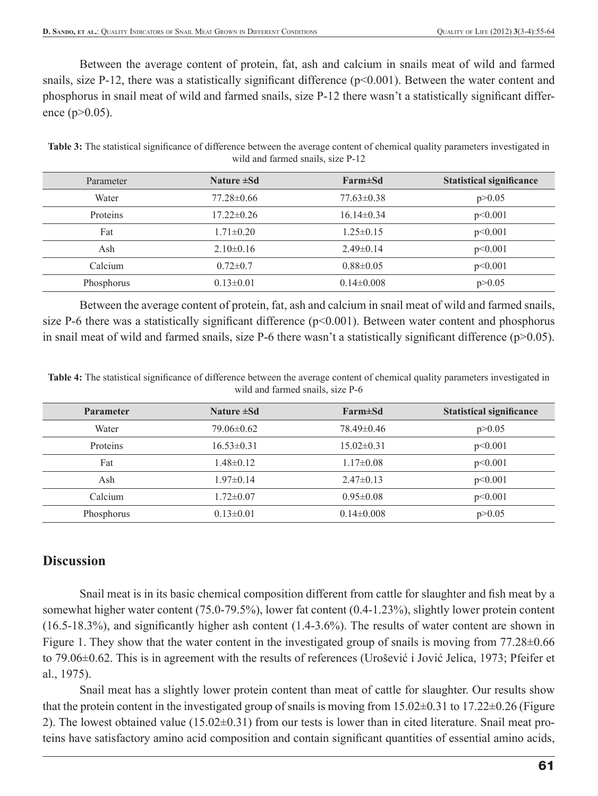Between the average content of protein, fat, ash and calcium in snails meat of wild and farmed snails, size P-12, there was a statistically significant difference  $(p<0.001)$ . Between the water content and phosphorus in snail meat of wild and farmed snails, size P-12 there wasn't a statistically significant difference (p>0.05).

**Table 3:** The statistical significance of difference between the average content of chemical quality parameters investigated in wild and farmed snails, size P-12

| Parameter  | Nature ±Sd       | Farm±Sd          | <b>Statistical significance</b> |
|------------|------------------|------------------|---------------------------------|
| Water      | $77.28 \pm 0.66$ | $77.63 \pm 0.38$ | p > 0.05                        |
| Proteins   | $17.22 \pm 0.26$ | $16.14\pm0.34$   | p<0.001                         |
| Fat        | $1.71 \pm 0.20$  | $1.25 \pm 0.15$  | p<0.001                         |
| Ash        | $2.10\pm0.16$    | $2.49\pm 0.14$   | p<0.001                         |
| Calcium    | $0.72 \pm 0.7$   | $0.88 \pm 0.05$  | p<0.001                         |
| Phosphorus | $0.13 \pm 0.01$  | $0.14 \pm 0.008$ | p > 0.05                        |

Between the average content of protein, fat, ash and calcium in snail meat of wild and farmed snails, size P-6 there was a statistically significant difference  $(p<0.001)$ . Between water content and phosphorus in snail meat of wild and farmed snails, size P-6 there wasn't a statistically significant difference  $(p>0.05)$ .

Table 4: The statistical significance of difference between the average content of chemical quality parameters investigated in wild and farmed snails, size P-6

| <b>Parameter</b> | Nature $\pm Sd$  | Farm±Sd         | <b>Statistical significance</b> |
|------------------|------------------|-----------------|---------------------------------|
| Water            | 79.06 ± 0.62     | 78.49±0.46      | p > 0.05                        |
| <b>Proteins</b>  | $16.53 \pm 0.31$ | $15.02\pm0.31$  | p<0.001                         |
| Fat              | $1.48 \pm 0.12$  | $1.17\pm0.08$   | p<0.001                         |
| Ash              | $1.97 \pm 0.14$  | $2.47\pm 0.13$  | p<0.001                         |
| Calcium          | $1.72 \pm 0.07$  | $0.95 \pm 0.08$ | p<0.001                         |
| Phosphorus       | $0.13 \pm 0.01$  | $0.14\pm0.008$  | p > 0.05                        |

#### **Discussion**

Snail meat is in its basic chemical composition different from cattle for slaughter and fish meat by a somewhat higher water content (75.0-79.5%), lower fat content (0.4-1.23%), slightly lower protein content (16.5-18.3%), and significantly higher ash content  $(1.4-3.6%)$ . The results of water content are shown in Figure 1. They show that the water content in the investigated group of snails is moving from 77.28±0.66 to 79.06±0.62. This is in agreement with the results of references (Urošević i Jović Jelica, 1973; Pfeifer et al., 1975).

Snail meat has a slightly lower protein content than meat of cattle for slaughter. Our results show that the protein content in the investigated group of snails is moving from  $15.02\pm0.31$  to  $17.22\pm0.26$  (Figure 2). The lowest obtained value (15.02±0.31) from our tests is lower than in cited literature. Snail meat proteins have satisfactory amino acid composition and contain significant quantities of essential amino acids,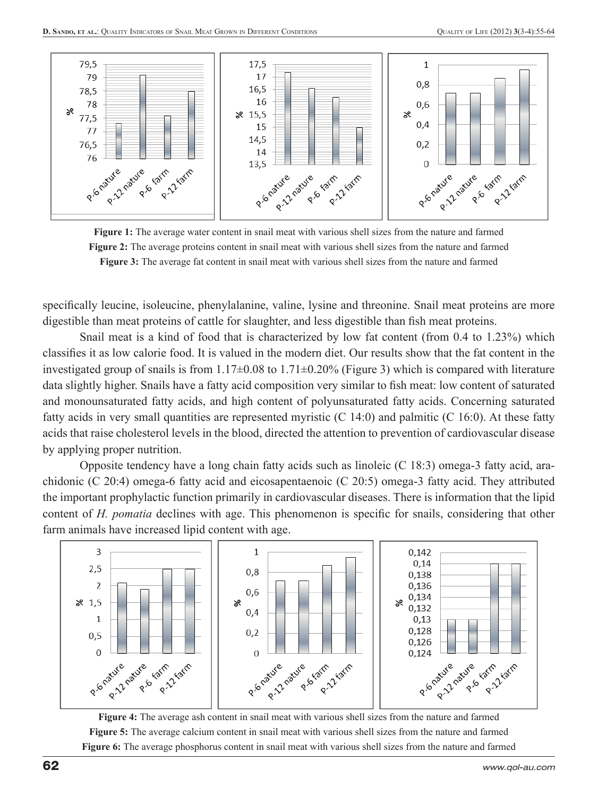



specifically leucine, isoleucine, phenylalanine, valine, lysine and threonine. Snail meat proteins are more digestible than meat proteins of cattle for slaughter, and less digestible than fish meat proteins.

Snail meat is a kind of food that is characterized by low fat content (from 0.4 to 1.23%) which classifies it as low calorie food. It is valued in the modern diet. Our results show that the fat content in the investigated group of snails is from 1.17±0.08 to 1.71±0.20% (Figure 3) which is compared with literature data slightly higher. Snails have a fatty acid composition very similar to fish meat: low content of saturated and monounsaturated fatty acids, and high content of polyunsaturated fatty acids. Concerning saturated fatty acids in very small quantities are represented myristic (C 14:0) and palmitic (C 16:0). At these fatty acids that raise cholesterol levels in the blood, directed the attention to prevention of cardiovascular disease by applying proper nutrition.

Opposite tendency have a long chain fatty acids such as linoleic (C 18:3) omega-3 fatty acid, arachidonic (C 20:4) omega-6 fatty acid and eicosapentaenoic (C 20:5) omega-3 fatty acid. They attributed the important prophylactic function primarily in cardiovascular diseases. There is information that the lipid content of *H. pomatia* declines with age. This phenomenon is specific for snails, considering that other farm animals have increased lipid content with age.



**Figure 4:** The average ash content in snail meat with various shell sizes from the nature and farmed **Figure 5:** The average calcium content in snail meat with various shell sizes from the nature and farmed **Figure 6:** The average phosphorus content in snail meat with various shell sizes from the nature and farmed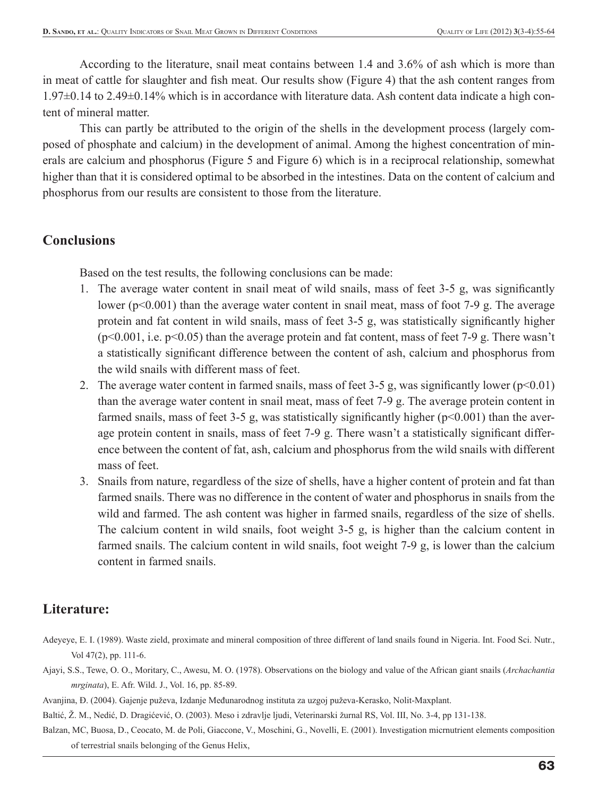According to the literature, snail meat contains between 1.4 and 3.6% of ash which is more than in meat of cattle for slaughter and fish meat. Our results show (Figure 4) that the ash content ranges from 1.97±0.14 to 2.49±0.14% which is in accordance with literature data. Ash content data indicate a high content of mineral matter.

This can partly be attributed to the origin of the shells in the development process (largely composed of phosphate and calcium) in the development of animal. Among the highest concentration of minerals are calcium and phosphorus (Figure 5 and Figure 6) which is in a reciprocal relationship, somewhat higher than that it is considered optimal to be absorbed in the intestines. Data on the content of calcium and phosphorus from our results are consistent to those from the literature.

### **Conclusions**

Based on the test results, the following conclusions can be made:

- 1. The average water content in snail meat of wild snails, mass of feet 3-5 g, was significantly lower (p<0.001) than the average water content in snail meat, mass of foot 7-9 g. The average protein and fat content in wild snails, mass of feet 3-5 g, was statistically significantly higher  $(p<0.001, i.e. p<0.05)$  than the average protein and fat content, mass of feet 7-9 g. There wasn't a statistically significant difference between the content of ash, calcium and phosphorus from the wild snails with different mass of feet.
- 2. The average water content in farmed snails, mass of feet 3-5 g, was significantly lower  $(p<0.01)$ than the average water content in snail meat, mass of feet 7-9 g. The average protein content in farmed snails, mass of feet 3-5 g, was statistically significantly higher ( $p<0.001$ ) than the average protein content in snails, mass of feet 7-9 g. There wasn't a statistically significant difference between the content of fat, ash, calcium and phosphorus from the wild snails with different mass of feet.
- 3. Snails from nature, regardless of the size of shells, have a higher content of protein and fat than farmed snails. There was no difference in the content of water and phosphorus in snails from the wild and farmed. The ash content was higher in farmed snails, regardless of the size of shells. The calcium content in wild snails, foot weight 3-5 g, is higher than the calcium content in farmed snails. The calcium content in wild snails, foot weight 7-9 g, is lower than the calcium content in farmed snails.

## **Literature:**

- Adeyeye, E. I. (1989). Waste zield, proximate and mineral composition of three different of land snails found in Nigeria. Int. Food Sci. Nutr., Vol 47(2), pp. 111-6.
- Ajayi, S.S., Tewe, O. O., Moritary, C., Awesu, M. O. (1978). Observations on the biology and value of the African giant snails (*Archachantia mrginata*), E. Afr. Wild. J., Vol. 16, pp. 85-89.
- Avanjina, Đ. (2004). Gajenje puževa, Izdanje Međunarodnog instituta za uzgoj puževa-Kerasko, Nolit-Maxplant.
- Baltić, Ž. M., Nedić, D. Dragićević, O. (2003). Meso i zdravlje ljudi, Veterinarski žurnal RS, Vol. III, No. 3-4, pp 131-138.
- Balzan, MC, Buosa, D., Ceocato, M. de Poli, Giaccone, V., Moschini, G., Novelli, E. (2001). Investigation micrnutrient elements composition of terrestrial snails belonging of the Genus Helix,